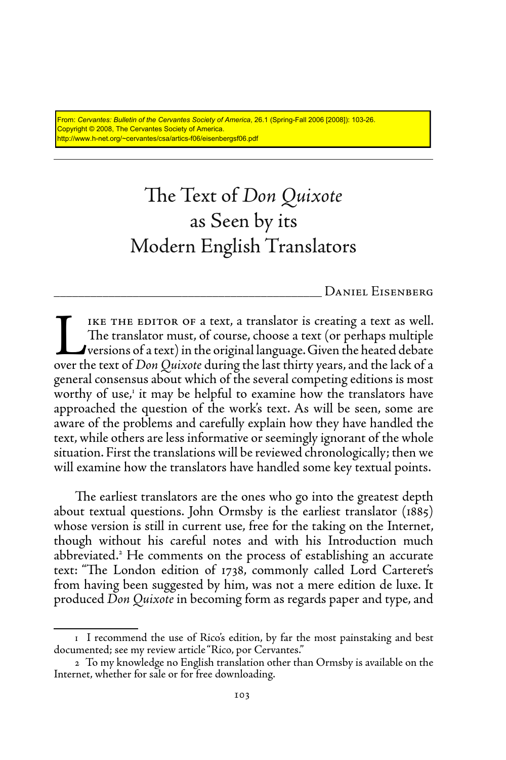From: *Cervantes: Bulletin of the Cervantes Society of America*, 26.1 (Spring-Fall 2006 [2008]): 103-26. Copyright © 2008, The Cervantes Society of America. http://www.h-net.org/~cervantes/csa/artics-f06/eisenbergsf06.pdf

# The Text of *Don Quixote* as Seen by its Modern English Translators

\_\_\_\_\_\_\_\_\_\_\_\_\_\_\_\_\_\_\_\_\_\_\_\_\_\_\_\_\_\_\_\_\_\_\_\_\_\_\_\_\_\_\_\_ Daniel Eisenberg

IKE THE EDITOR OF a text, a translator is creating a text as well.<br>The translator must, of course, choose a text (or perhaps multiple<br>versions of a text) in the original language. Given the heated debate<br>over the text of The translator must, of course, choose a text (or perhaps multiple versions of a text) in the original language. Given the heated debate over the text of *Don Quixote* during the last thirty years, and the lack of a general consensus about which of the several competing editions is most worthy of use,<sup>1</sup> it may be helpful to examine how the translators have approached the question of the work's text. As will be seen, some are aware of the problems and carefully explain how they have handled the text, while others are less informative or seemingly ignorant of the whole situation. First the translations will be reviewed chronologically; then we will examine how the translators have handled some key textual points.

The earliest translators are the ones who go into the greatest depth about textual questions. John Ormsby is the earliest translator (1885) whose version is still in current use, free for the taking on the Internet, though without his careful notes and with his Introduction much abbreviated.<sup>2</sup> He comments on the process of establishing an accurate text: "The London edition of 1738, commonly called Lord Carteret's from having been suggested by him, was not a mere edition de luxe. It produced *Don Quixote* in becoming form as regards paper and type, and

<sup>1</sup> I recommend the use of Rico's edition, by far the most painstaking and best documented; see my review article "Rico, por Cervantes."

<sup>2</sup> To my knowledge no English translation other than Ormsby is available on the Internet, whether for sale or for free downloading.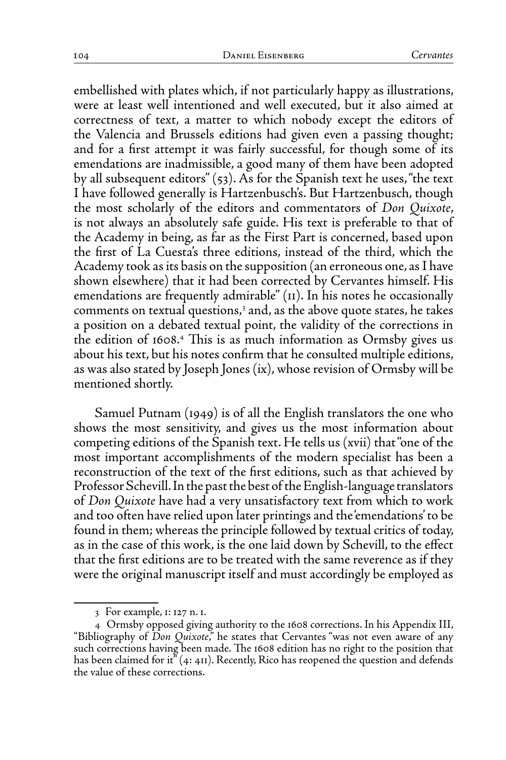embellished with plates which, if not particularly happy as illustrations, were at least well intentioned and well executed, but it also aimed at correctness of text, a matter to which nobody except the editors of the Valencia and Brussels editions had given even a passing thought; and for a first attempt it was fairly successful, for though some of its emendations are inadmissible, a good many of them have been adopted by all subsequent editors" (53). As for the Spanish text he uses, "the text I have followed generally is Hartzenbusch's. But Hartzenbusch, though the most scholarly of the editors and commentators of *Don Quixote*, is not always an absolutely safe guide. His text is preferable to that of the Academy in being, as far as the First Part is concerned, based upon the first of La Cuesta's three editions, instead of the third, which the Academy took as its basis on the supposition (an erroneous one, as I have shown elsewhere) that it had been corrected by Cervantes himself. His emendations are frequently admirable" (11). In his notes he occasionally comments on textual questions,<sup>3</sup> and, as the above quote states, he takes a position on a debated textual point, the validity of the corrections in the edition of 1608.4 This is as much information as Ormsby gives us about his text, but his notes confirm that he consulted multiple editions, as was also stated by Joseph Jones (ix), whose revision of Ormsby will be mentioned shortly.

Samuel Putnam (1949) is of all the English translators the one who shows the most sensitivity, and gives us the most information about competing editions of the Spanish text. He tells us (xvii) that "one of the most important accomplishments of the modern specialist has been a reconstruction of the text of the first editions, such as that achieved by Professor Schevill. In the past the best of the English-language translators of *Don Quixote* have had a very unsatisfactory text from which to work and too often have relied upon later printings and the 'emendations' to be found in them; whereas the principle followed by textual critics of today, as in the case of this work, is the one laid down by Schevill, to the effect that the first editions are to be treated with the same reverence as if they were the original manuscript itself and must accordingly be employed as

<sup>3</sup> For example, 1: 127 n. 1.

<sup>4</sup> Ormsby opposed giving authority to the 1608 corrections. In his Appendix III, "Bibliography of *Don Quixote*," he states that Cervantes "was not even aware of any such corrections having been made. The 1608 edition has no right to the position that has been claimed for it" (4: 411). Recently, Rico has reopened the question and defends the value of these corrections.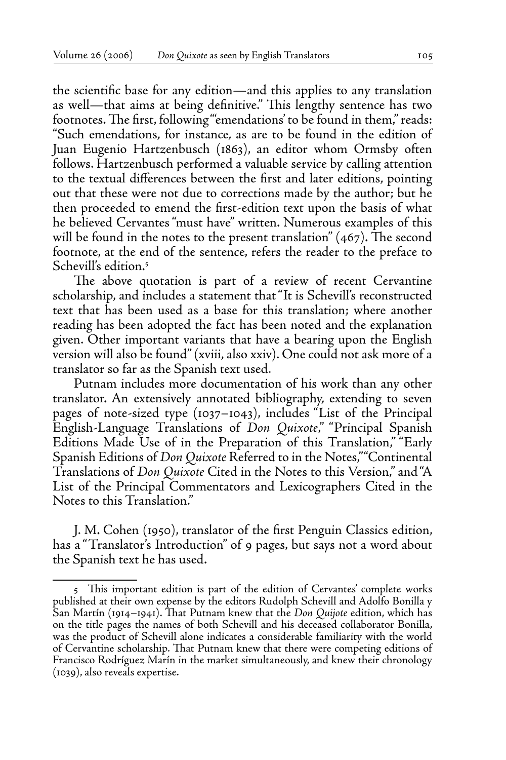the scientific base for any edition—and this applies to any translation as well—that aims at being definitive." This lengthy sentence has two footnotes. The first, following "'emendations' to be found in them," reads: "Such emendations, for instance, as are to be found in the edition of Juan Eugenio Hartzenbusch (1863), an editor whom Ormsby often follows. Hartzenbusch performed a valuable service by calling attention to the textual differences between the first and later editions, pointing out that these were not due to corrections made by the author; but he then proceeded to emend the first-edition text upon the basis of what he believed Cervantes "must have" written. Numerous examples of this will be found in the notes to the present translation"  $(467)$ . The second footnote, at the end of the sentence, refers the reader to the preface to Schevill's edition.5

The above quotation is part of a review of recent Cervantine scholarship, and includes a statement that "It is Schevill's reconstructed text that has been used as a base for this translation; where another reading has been adopted the fact has been noted and the explanation given. Other important variants that have a bearing upon the English version will also be found" (xviii, also xxiv). One could not ask more of a translator so far as the Spanish text used.

Putnam includes more documentation of his work than any other translator. An extensively annotated bibliography, extending to seven pages of note-sized type (1037–1043), includes "List of the Principal English-Language Translations of *Don Quixote*," "Principal Spanish Editions Made Use of in the Preparation of this Translation," "Early Spanish Editions of *Don Quixote* Referred to in the Notes," "Continental Translations of *Don Quixote* Cited in the Notes to this Version," and "A List of the Principal Commentators and Lexicographers Cited in the Notes to this Translation."

J. M. Cohen (1950), translator of the first Penguin Classics edition, has a "Translator's Introduction" of 9 pages, but says not a word about the Spanish text he has used.

<sup>5</sup> This important edition is part of the edition of Cervantes' complete works published at their own expense by the editors Rudolph Schevill and Adolfo Bonilla y San Martín (1914–1941). That Putnam knew that the *Don Quijote* edition, which has on the title pages the names of both Schevill and his deceased collaborator Bonilla, was the product of Schevill alone indicates a considerable familiarity with the world of Cervantine scholarship. That Putnam knew that there were competing editions of Francisco Rodríguez Marín in the market simultaneously, and knew their chronology (1039), also reveals expertise.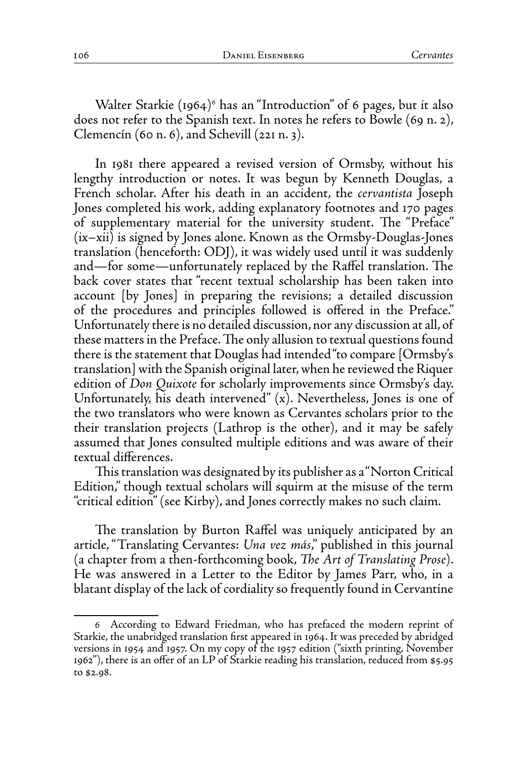Walter Starkie (1964)<sup>6</sup> has an "Introduction" of 6 pages, but it also does not refer to the Spanish text. In notes he refers to Bowle (69 n. 2), Clemencín (60 n. 6), and Schevill (221 n. 3).

In 1981 there appeared a revised version of Ormsby, without his lengthy introduction or notes. It was begun by Kenneth Douglas, a French scholar. After his death in an accident, the *cervantista* Joseph Jones completed his work, adding explanatory footnotes and 170 pages of supplementary material for the university student. The "Preface" (ix–xii) is signed by Jones alone. Known as the Ormsby-Douglas-Jones translation (henceforth: ODJ), it was widely used until it was suddenly and—for some—unfortunately replaced by the Raffel translation. The back cover states that "recent textual scholarship has been taken into account [by Jones] in preparing the revisions; a detailed discussion of the procedures and principles followed is offered in the Preface." Unfortunately there is no detailed discussion, nor any discussion at all, of these matters in the Preface. The only allusion to textual questions found there is the statement that Douglas had intended "to compare [Ormsby's translation] with the Spanish original later, when he reviewed the Riquer edition of *Don Quixote* for scholarly improvements since Ormsby's day. Unfortunately, his death intervened"  $(x)$ . Nevertheless, Jones is one of the two translators who were known as Cervantes scholars prior to the their translation projects (Lathrop is the other), and it may be safely assumed that Jones consulted multiple editions and was aware of their textual differences.

This translation was designated by its publisher as a "Norton Critical Edition," though textual scholars will squirm at the misuse of the term "critical edition" (see Kirby), and Jones correctly makes no such claim.

The translation by Burton Raffel was uniquely anticipated by an article, "Translating Cervantes: *Una vez más*," published in this journal (a chapter from a then-forthcoming book, *The Art of Translating Prose*). He was answered in a Letter to the Editor by James Parr, who, in a blatant display of the lack of cordiality so frequently found in Cervantine

<sup>6</sup> According to Edward Friedman, who has prefaced the modern reprint of Starkie, the unabridged translation first appeared in 1964. It was preceded by abridged versions in 1954 and 1957. On my copy of the 1957 edition ("sixth printing, November 1962"), there is an offer of an LP of Starkie reading his translation, reduced from \$5.95 to \$2.98.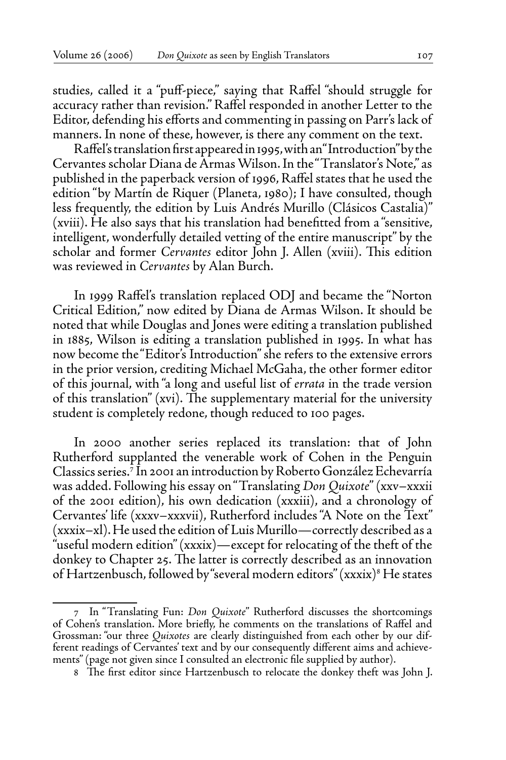studies, called it a "puff-piece," saying that Raffel "should struggle for accuracy rather than revision." Raffel responded in another Letter to the Editor, defending his efforts and commenting in passing on Parr's lack of manners. In none of these, however, is there any comment on the text.

Raffel's translation first appeared in 1995, with an "Introduction" by the Cervantes scholar Diana de Armas Wilson. In the "Translator's Note," as published in the paperback version of 1996, Raffel states that he used the edition "by Martín de Riquer (Planeta, 1980); I have consulted, though less frequently, the edition by Luis Andrés Murillo (Clásicos Castalia)" (xviii). He also says that his translation had benefitted from a "sensitive, intelligent, wonderfully detailed vetting of the entire manuscript" by the scholar and former *Cervantes* editor John J. Allen (xviii). This edition was reviewed in *Cervantes* by Alan Burch.

In 1999 Raffel's translation replaced ODJ and became the "Norton Critical Edition," now edited by Diana de Armas Wilson. It should be noted that while Douglas and Jones were editing a translation published in 1885, Wilson is editing a translation published in 1995. In what has now become the "Editor's Introduction" she refers to the extensive errors in the prior version, crediting Michael McGaha, the other former editor of this journal, with "a long and useful list of *errata* in the trade version of this translation" (xvi). The supplementary material for the university student is completely redone, though reduced to 100 pages.

In 2000 another series replaced its translation: that of John Rutherford supplanted the venerable work of Cohen in the Penguin Classics series.7 In 2001 an introduction by Roberto González Echevarría was added. Following his essay on "Translating *Don Quixote*" (xxv–xxxii of the 2001 edition), his own dedication (xxxiii), and a chronology of Cervantes' life (xxxv–xxxvii), Rutherford includes "A Note on the Text" (xxxix–xl). He used the edition of Luis Murillo—correctly described as a "useful modern edition" (xxxix)—except for relocating of the theft of the donkey to Chapter 25. The latter is correctly described as an innovation of Hartzenbusch, followed by "several modern editors" (xxxix)<sup>8</sup> He states

<sup>7</sup> In "Translating Fun: *Don Quixote*" Rutherford discusses the shortcomings of Cohen's translation. More briefly, he comments on the translations of Raffel and Grossman: "our three *Quixotes* are clearly distinguished from each other by our different readings of Cervantes' text and by our consequently different aims and achievements" (page not given since I consulted an electronic file supplied by author).

<sup>8</sup> The first editor since Hartzenbusch to relocate the donkey theft was John J.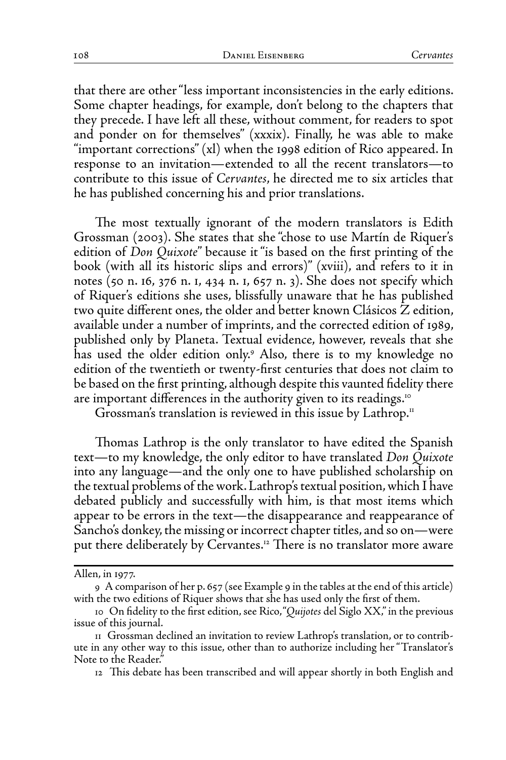that there are other "less important inconsistencies in the early editions. Some chapter headings, for example, don't belong to the chapters that they precede. I have left all these, without comment, for readers to spot and ponder on for themselves" (xxxix). Finally, he was able to make "important corrections" (xl) when the 1998 edition of Rico appeared. In response to an invitation—extended to all the recent translators—to contribute to this issue of *Cervantes*, he directed me to six articles that he has published concerning his and prior translations.

The most textually ignorant of the modern translators is Edith Grossman (2003). She states that she "chose to use Martín de Riquer's edition of *Don Quixote*" because it "is based on the first printing of the book (with all its historic slips and errors)" (xviii), and refers to it in notes (50 n. 16, 376 n. 1, 434 n. 1, 657 n. 3). She does not specify which of Riquer's editions she uses, blissfully unaware that he has published two quite different ones, the older and better known Clásicos Z edition, available under a number of imprints, and the corrected edition of 1989, published only by Planeta. Textual evidence, however, reveals that she has used the older edition only.9 Also, there is to my knowledge no edition of the twentieth or twenty-first centuries that does not claim to be based on the first printing, although despite this vaunted fidelity there are important differences in the authority given to its readings.<sup>10</sup>

Grossman's translation is reviewed in this issue by Lathrop.<sup>11</sup>

Thomas Lathrop is the only translator to have edited the Spanish text—to my knowledge, the only editor to have translated *Don Quixote* into any language—and the only one to have published scholarship on the textual problems of the work. Lathrop's textual position, which I have debated publicly and successfully with him, is that most items which appear to be errors in the text—the disappearance and reappearance of Sancho's donkey, the missing or incorrect chapter titles, and so on—were put there deliberately by Cervantes.<sup>12</sup> There is no translator more aware

Allen, in 1977.

<sup>9</sup> A comparison of her p. 657 (see Example 9 in the tables at the end of this article) with the two editions of Riquer shows that she has used only the first of them.

<sup>10</sup> On fidelity to the first edition, see Rico, "*Quijotes* del Siglo XX," in the previous issue of this journal.

<sup>11</sup> Grossman declined an invitation to review Lathrop's translation, or to contribute in any other way to this issue, other than to authorize including her "Translator's Note to the Reader."

<sup>12</sup> This debate has been transcribed and will appear shortly in both English and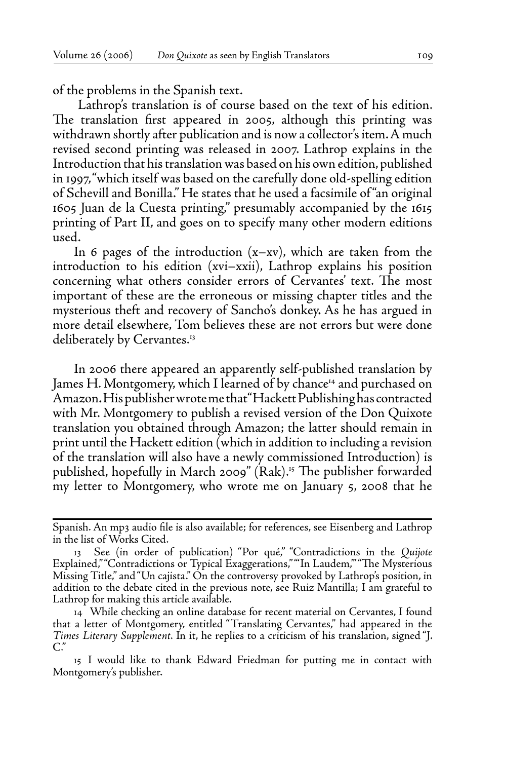of the problems in the Spanish text.

 Lathrop's translation is of course based on the text of his edition. The translation first appeared in 2005, although this printing was withdrawn shortly after publication and is now a collector's item. A much revised second printing was released in 2007. Lathrop explains in the Introduction that his translation was based on his own edition, published in 1997, "which itself was based on the carefully done old-spelling edition of Schevill and Bonilla." He states that he used a facsimile of "an original 1605 Juan de la Cuesta printing," presumably accompanied by the 1615 printing of Part II, and goes on to specify many other modern editions used.

In 6 pages of the introduction  $(x-xv)$ , which are taken from the introduction to his edition (xvi–xxii), Lathrop explains his position concerning what others consider errors of Cervantes' text. The most important of these are the erroneous or missing chapter titles and the mysterious theft and recovery of Sancho's donkey. As he has argued in more detail elsewhere, Tom believes these are not errors but were done deliberately by Cervantes.<sup>13</sup>

In 2006 there appeared an apparently self-published translation by James H. Montgomery, which I learned of by chance<sup>14</sup> and purchased on Amazon. His publisher wrote me that "Hackett Publishing has contracted with Mr. Montgomery to publish a revised version of the Don Quixote translation you obtained through Amazon; the latter should remain in print until the Hackett edition (which in addition to including a revision of the translation will also have a newly commissioned Introduction) is published, hopefully in March 2009" (Rak).<sup>15</sup> The publisher forwarded my letter to Montgomery, who wrote me on January 5, 2008 that he

Spanish. An mp3 audio file is also available; for references, see Eisenberg and Lathrop in the list of Works Cited.

<sup>13</sup> See (in order of publication) "Por qué," "Contradictions in the *Quijote* Explained," "Contradictions or Typical Exaggerations," "'In Laudem,'" "The Mysterious Missing Title," and "Un cajista." On the controversy provoked by Lathrop's position, in addition to the debate cited in the previous note, see Ruiz Mantilla; I am grateful to Lathrop for making this article available.

<sup>14</sup> While checking an online database for recent material on Cervantes, I found that a letter of Montgomery, entitled "Translating Cervantes," had appeared in the *Times Literary Supplement*. In it, he replies to a criticism of his translation, signed "J. C."

<sup>15</sup> I would like to thank Edward Friedman for putting me in contact with Montgomery's publisher.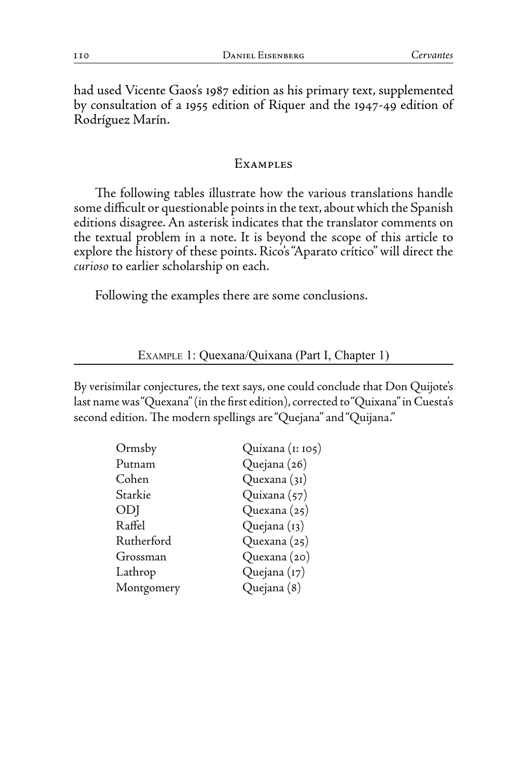had used Vicente Gaos's 1987 edition as his primary text, supplemented by consultation of a 1955 edition of Riquer and the 1947-49 edition of Rodríguez Marín.

#### **EXAMPLES**

The following tables illustrate how the various translations handle some difficult or questionable points in the text, about which the Spanish editions disagree. An asterisk indicates that the translator comments on the textual problem in a note. It is beyond the scope of this article to explore the history of these points. Rico's "Aparato crítico" will direct the *curioso* to earlier scholarship on each.

Following the examples there are some conclusions.

Example 1: Quexana/Quixana (Part I, Chapter 1)

By verisimilar conjectures, the text says, one could conclude that Don Quijote's last name was "Quexana" (in the first edition), corrected to "Quixana" in Cuesta's second edition. The modern spellings are "Quejana" and "Quijana."

| Ormsby     | Quixana (1: 105) |
|------------|------------------|
| Putnam     | Quejana (26)     |
| Cohen      | Quexana (31)     |
| Starkie    | Quixana (57)     |
| ODJ        | Quexana (25)     |
| Raffel     | Quejana (13)     |
| Rutherford | Quexana (25)     |
| Grossman   | Quexana (20)     |
| Lathrop    | Quejana (17)     |
| Montgomery | Quejana (8)      |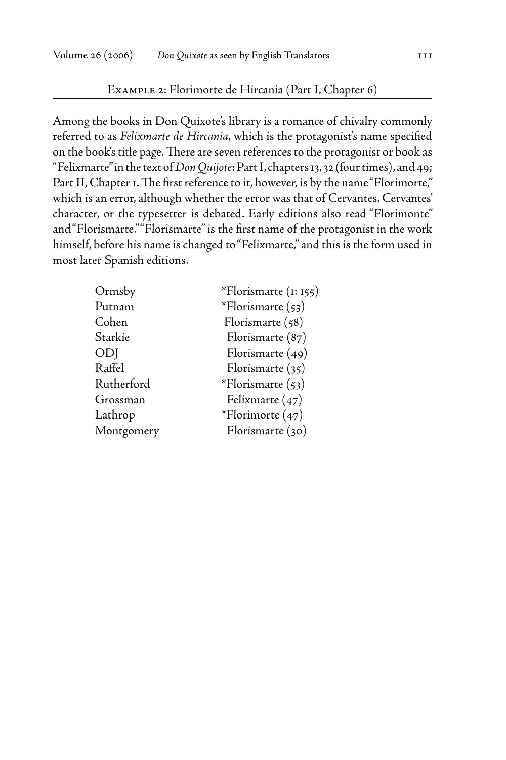#### Example 2: Florimorte de Hircania (Part I, Chapter 6)

Among the books in Don Quixote's library is a romance of chivalry commonly referred to as *Felixmarte de Hircania*, which is the protagonist's name specified on the book's title page. There are seven references to the protagonist or book as "Felixmarte" in the text of *Don Quijote*: Part I, chapters 13, 32 (four times), and 49; Part II, Chapter 1. The first reference to it, however, is by the name "Florimorte," which is an error, although whether the error was that of Cervantes, Cervantes' character, or the typesetter is debated. Early editions also read "Florimonte" and "Florismarte." "Florismarte" is the first name of the protagonist in the work himself, before his name is changed to "Felixmarte," and this is the form used in most later Spanish editions.

| Ormsby     | *Florismarte $(i: 155)$ |
|------------|-------------------------|
| Putnam     | *Florismarte $(53)$     |
| Cohen      | Florismarte (58)        |
| Starkie    | Florismarte (87)        |
| ODJ        | Florismarte (49)        |
| Raffel     | Florismarte (35)        |
| Rutherford | *Florismarte (53)       |
| Grossman   | Felixmarte (47)         |
| Lathrop    | *Florimorte (47)        |
| Montgomery | Florismarte (30)        |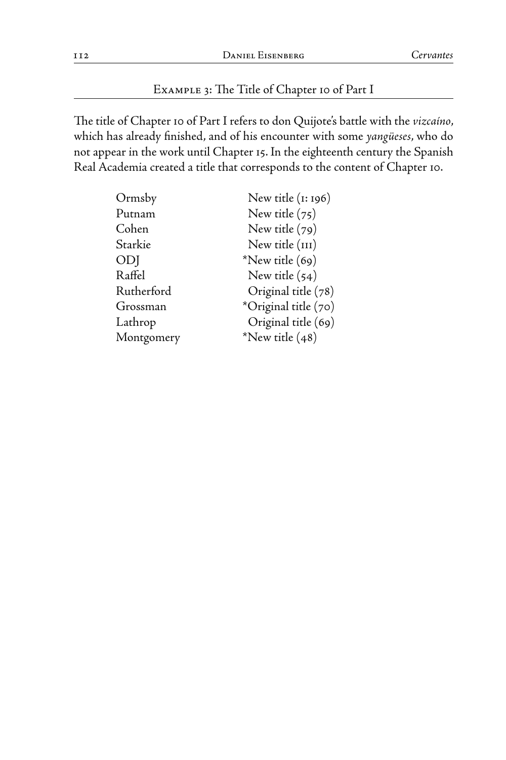## Example 3: The Title of Chapter 10 of Part I

The title of Chapter 10 of Part I refers to don Quijote's battle with the *vizcaíno*, which has already finished, and of his encounter with some *yangüeses*, who do not appear in the work until Chapter 15. In the eighteenth century the Spanish Real Academia created a title that corresponds to the content of Chapter 10.

| Ormsby     | New title $(i: 196)$ |
|------------|----------------------|
| Putnam     | New title $(75)$     |
| Cohen      | New title $(79)$     |
| Starkie    | New title (III)      |
| ODJ        | *New title (69)      |
| Raffel     | New title $(54)$     |
| Rutherford | Original title (78)  |
| Grossman   | *Original title (70) |
| Lathrop    | Original title (69)  |
| Montgomery | *New title $(48)$    |
|            |                      |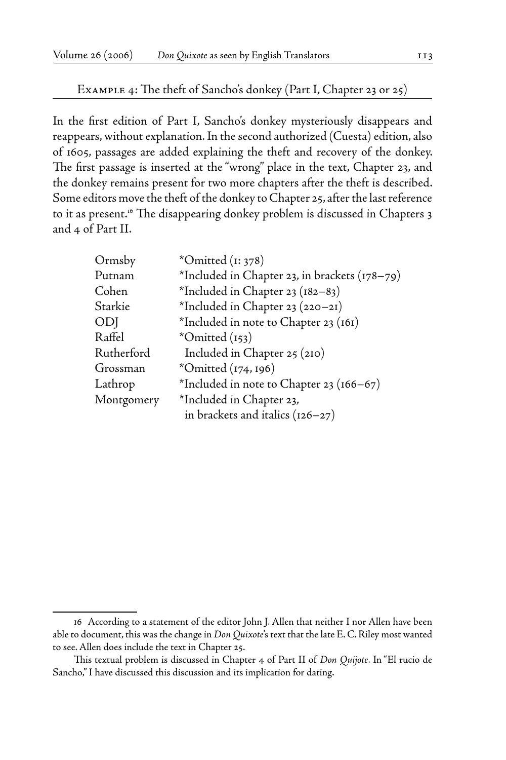## Example 4: The theft of Sancho's donkey (Part I, Chapter 23 or 25)

In the first edition of Part I, Sancho's donkey mysteriously disappears and reappears, without explanation. In the second authorized (Cuesta) edition, also of 1605, passages are added explaining the theft and recovery of the donkey. The first passage is inserted at the "wrong" place in the text, Chapter 23, and the donkey remains present for two more chapters after the theft is described. Some editors move the theft of the donkey to Chapter 25, after the last reference to it as present.16 The disappearing donkey problem is discussed in Chapters 3 and 4 of Part II.

| $*Omitted$ ( $1:378$ )                        |
|-----------------------------------------------|
| *Included in Chapter 23, in brackets (178-79) |
| *Included in Chapter 23 (182-83)              |
| *Included in Chapter 23 (220-21)              |
| *Included in note to Chapter 23 (161)         |
| $*Omitted(153)$                               |
| Included in Chapter 25 (210)                  |
| *Omitted (174, 196)                           |
| *Included in note to Chapter 23 ( $166-67$ )  |
| *Included in Chapter 23,                      |
| in brackets and italics $(126-27)$            |
|                                               |

<sup>16</sup> According to a statement of the editor John J. Allen that neither I nor Allen have been able to document, this was the change in *Don Quixote*'s text that the late E. C. Riley most wanted to see. Allen does include the text in Chapter 25.

This textual problem is discussed in Chapter 4 of Part II of *Don Quijote*. In "El rucio de Sancho," I have discussed this discussion and its implication for dating.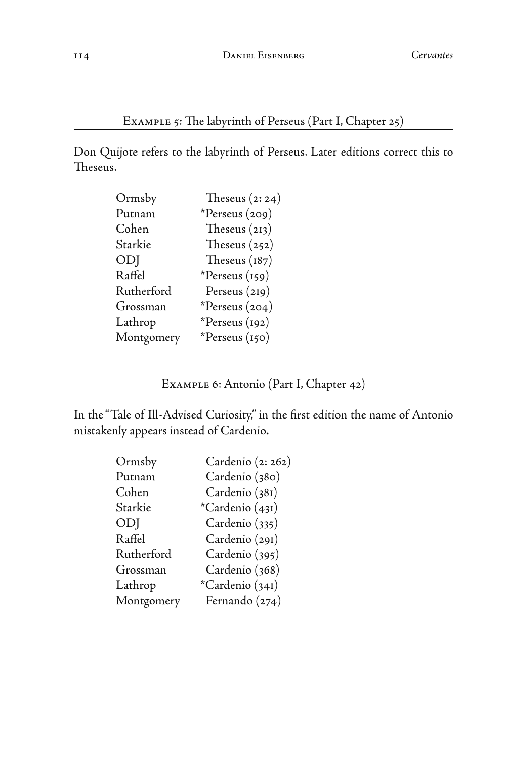Example 5: The labyrinth of Perseus (Part I, Chapter 25)

Don Quijote refers to the labyrinth of Perseus. Later editions correct this to Theseus.

| Ormsby     | Theseus $(2:24)$ |
|------------|------------------|
| Putnam     | *Perseus $(209)$ |
| Cohen      | Theseus $(213)$  |
| Starkie    | Theseus $(252)$  |
| ODJ        | Theseus $(187)$  |
| Raffel     | *Perseus (159)   |
| Rutherford | Perseus (219)    |
| Grossman   | *Perseus (204)   |
| Lathrop    | *Perseus (192)   |
| Montgomery | *Perseus (150)   |

Example 6: Antonio (Part I, Chapter 42)

In the "Tale of Ill-Advised Curiosity," in the first edition the name of Antonio mistakenly appears instead of Cardenio.

| Cardenio (2: 262) |
|-------------------|
| Cardenio (380)    |
| Cardenio (381)    |
| *Cardenio (431)   |
| Cardenio (335)    |
| Cardenio (291)    |
| Cardenio (395)    |
| Cardenio (368)    |
| *Cardenio (341)   |
| Fernando (274)    |
|                   |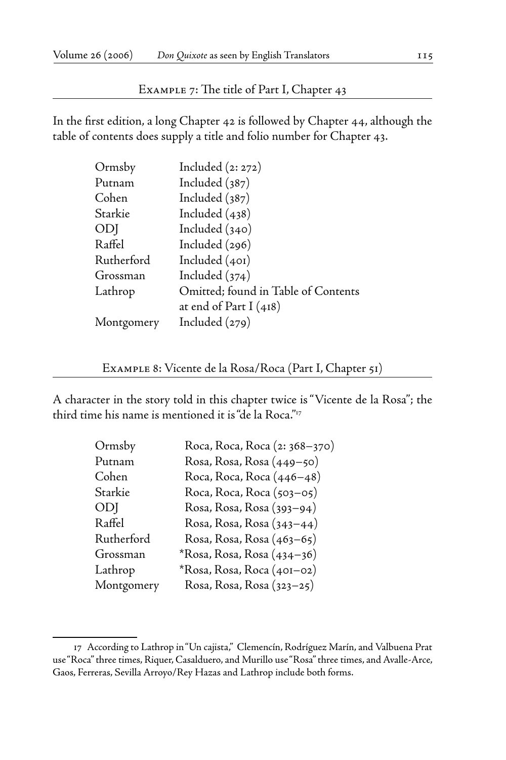Example 7: The title of Part I, Chapter 43

In the first edition, a long Chapter 42 is followed by Chapter 44, although the table of contents does supply a title and folio number for Chapter 43.

| Ormsby     | Included $(2:272)$                  |
|------------|-------------------------------------|
| Putnam     | Included $(387)$                    |
| Cohen      | Included $(387)$                    |
| Starkie    | Included $(438)$                    |
| ODJ        | Included $(340)$                    |
| Raffel     | Included (296)                      |
| Rutherford | Included $(40I)$                    |
| Grossman   | Included $(374)$                    |
| Lathrop    | Omitted; found in Table of Contents |
|            | at end of Part I $(418)$            |
| Montgomery | Included $(279)$                    |

Example 8: Vicente de la Rosa/Roca (Part I, Chapter 51)

A character in the story told in this chapter twice is "Vicente de la Rosa"; the third time his name is mentioned it is "de la Roca."17

| Ormsby     | Roca, Roca, Roca (2: 368-370) |
|------------|-------------------------------|
| Putnam     | Rosa, Rosa, Rosa (449–50)     |
| Cohen      | Roca, Roca, Roca (446–48)     |
| Starkie    | Roca, Roca, Roca (503–05)     |
| ODJ        | Rosa, Rosa, Rosa (393–94)     |
| Raffel     | Rosa, Rosa, Rosa (343–44)     |
| Rutherford | Rosa, Rosa, Rosa (463–65)     |
| Grossman   | *Rosa, Rosa, Rosa (434–36)    |
| Lathrop    | *Rosa, Rosa, Roca (401–02)    |
| Montgomery | Rosa, Rosa, Rosa (323–25)     |
|            |                               |

<sup>17</sup> According to Lathrop in "Un cajista," Clemencín, Rodríguez Marín, and Valbuena Prat use "Roca" three times, Riquer, Casalduero, and Murillo use "Rosa" three times, and Avalle-Arce, Gaos, Ferreras, Sevilla Arroyo/Rey Hazas and Lathrop include both forms.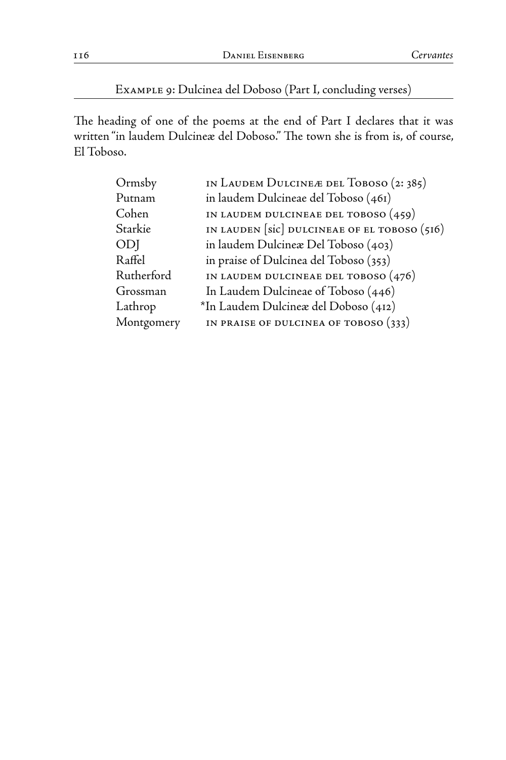## Example 9: Dulcinea del Doboso (Part I, concluding verses)

The heading of one of the poems at the end of Part I declares that it was written "in laudem Dulcineæ del Doboso." The town she is from is, of course, El Toboso.

| Ormsby     | IN LAUDEM DULCINE Æ DEL TOBOSO (2:385)                             |
|------------|--------------------------------------------------------------------|
| Putnam     | in laudem Dulcineae del Toboso (461)                               |
| Cohen      | IN LAUDEM DULCINEAE DEL TOBOSO $(459)$                             |
| Starkie    | IN LAUDEN [ $\text{sic}$ ] DULCINEAE OF EL TOBOSO ( $\text{516}$ ) |
| ODJ        | in laudem Dulcinea: Del Toboso (403)                               |
| Raffel     | in praise of Dulcinea del Toboso (353)                             |
| Rutherford | IN LAUDEM DULCINEAE DEL TOBOSO $(476)$                             |
| Grossman   | In Laudem Dulcineae of Toboso (446)                                |
| Lathrop    | *In Laudem Dulcinex del Doboso (412)                               |
| Montgomery | IN PRAISE OF DULCINEA OF TOBOSO $(333)$                            |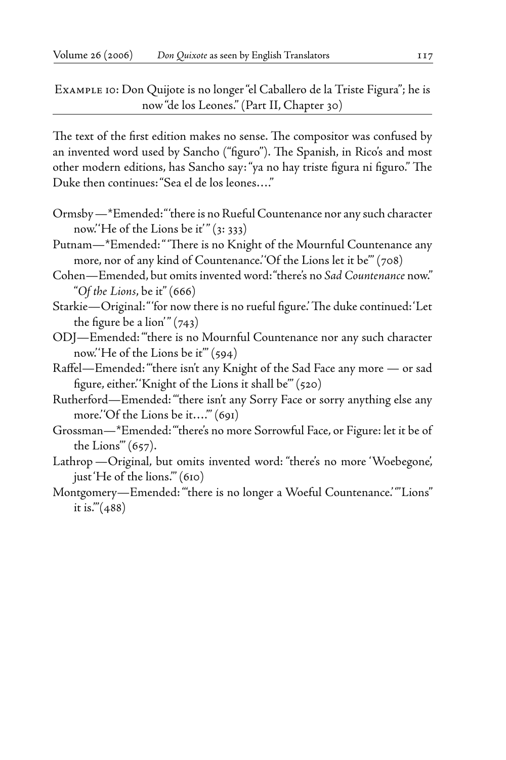Example 10: Don Quijote is no longer "el Caballero de la Triste Figura"; he is now "de los Leones." (Part II, Chapter 30)

The text of the first edition makes no sense. The compositor was confused by an invented word used by Sancho ("figuro"). The Spanish, in Rico's and most other modern editions, has Sancho say: "ya no hay triste figura ni figuro." The Duke then continues: "Sea el de los leones…."

- Ormsby—\*Emended: " 'there is no Rueful Countenance nor any such character now.''He of the Lions be it'"  $(3:333)$
- Putnam—\*Emended: " 'There is no Knight of the Mournful Countenance any more, nor of any kind of Countenance.' 'Of the Lions let it be'" (708)
- Cohen—Emended, but omits invented word: "there's no *Sad Countenance* now." "*Of the Lions*, be it" (666)
- Starkie—Original: " 'for now there is no rueful figure.' The duke continued: 'Let the figure be a lion'"  $(743)$
- ODJ—Emended: "'there is no Mournful Countenance nor any such character now.' 'He of the Lions be it'" (594)
- Raffel—Emended: "'there isn't any Knight of the Sad Face any more or sad figure, either.' 'Knight of the Lions it shall be'" (520)
- Rutherford—Emended: "'there isn't any Sorry Face or sorry anything else any more.' Of the Lions be it...." (691)
- Grossman—\*Emended: "'there's no more Sorrowful Face, or Figure: let it be of the Lions'" (657).
- Lathrop—Original, but omits invented word: "there's no more 'Woebegone', just 'He of the lions.'" (610)
- Montgomery—Emended: "'there is no longer a Woeful Countenance.' '"Lions" it is." $(488)$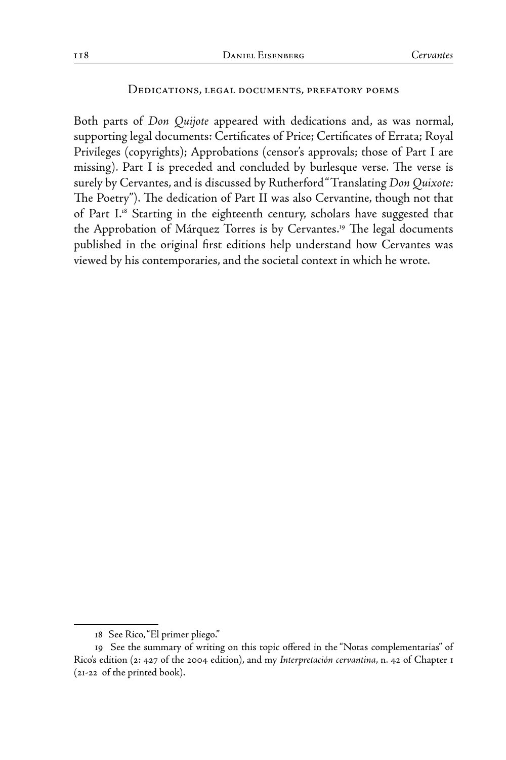#### Dedications, legal documents, prefatory poems

Both parts of *Don Quijote* appeared with dedications and, as was normal, supporting legal documents: Certificates of Price; Certificates of Errata; Royal Privileges (copyrights); Approbations (censor's approvals; those of Part I are missing). Part I is preceded and concluded by burlesque verse. The verse is surely by Cervantes, and is discussed by Rutherford "Translating *Don Quixote:* The Poetry"). The dedication of Part II was also Cervantine, though not that of Part I.18 Starting in the eighteenth century, scholars have suggested that the Approbation of Márquez Torres is by Cervantes.<sup>19</sup> The legal documents published in the original first editions help understand how Cervantes was viewed by his contemporaries, and the societal context in which he wrote.

<sup>18</sup> See Rico, "El primer pliego."

<sup>19</sup> See the summary of writing on this topic offered in the "Notas complementarias" of Rico's edition (2: 427 of the 2004 edition), and my *Interpretación cervantina*, n. 42 of Chapter 1 (21-22 of the printed book).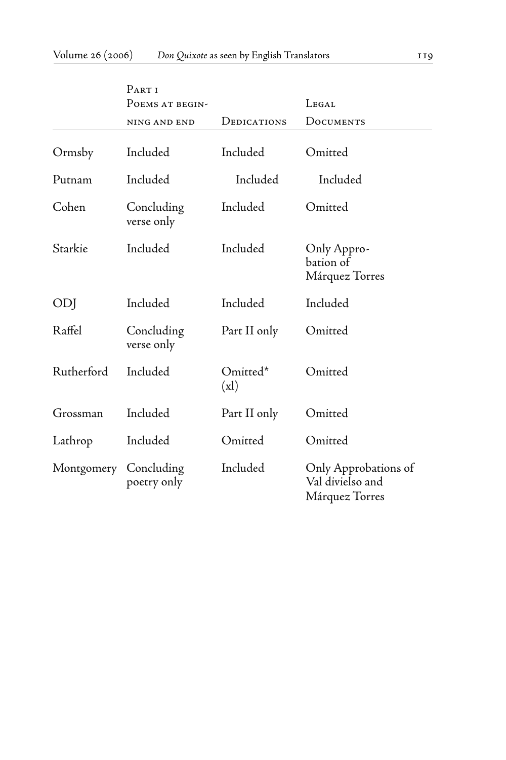|            | PART <sub>I</sub>         |                 |                                                            |
|------------|---------------------------|-----------------|------------------------------------------------------------|
|            | POEMS AT BEGIN-           |                 | LEGAL                                                      |
|            | NING AND END              | DEDICATIONS     | DOCUMENTS                                                  |
| Ormsby     | Included                  | Included        | Omitted                                                    |
| Putnam     | Included                  | Included        | Included                                                   |
| Cohen      | Concluding<br>verse only  | Included        | Omitted                                                    |
| Starkie    | Included                  | Included        | Only Appro-<br>bation of<br>Márquez Torres                 |
| ODJ        | Included                  | Included        | Included                                                   |
| Raffel     | Concluding<br>verse only  | Part II only    | Omitted                                                    |
| Rutherford | Included                  | Omitted*<br>(x) | Omitted                                                    |
| Grossman   | Included                  | Part II only    | Omitted                                                    |
| Lathrop    | Included                  | Omitted         | Omitted                                                    |
| Montgomery | Concluding<br>poetry only | Included        | Only Approbations of<br>Val divielso and<br>Márquez Torres |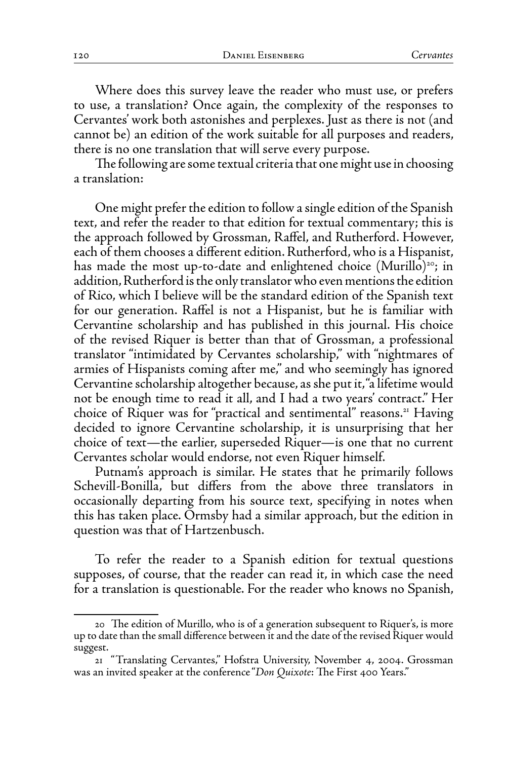Where does this survey leave the reader who must use, or prefers to use, a translation? Once again, the complexity of the responses to Cervantes' work both astonishes and perplexes. Just as there is not (and cannot be) an edition of the work suitable for all purposes and readers, there is no one translation that will serve every purpose.

The following are some textual criteria that one might use in choosing a translation:

One might prefer the edition to follow a single edition of the Spanish text, and refer the reader to that edition for textual commentary; this is the approach followed by Grossman, Raffel, and Rutherford. However, each of them chooses a different edition. Rutherford, who is a Hispanist, has made the most up-to-date and enlightened choice (Murillo)<sup>20</sup>; in addition, Rutherford is the only translator who even mentions the edition of Rico, which I believe will be the standard edition of the Spanish text for our generation. Raffel is not a Hispanist, but he is familiar with Cervantine scholarship and has published in this journal. His choice of the revised Riquer is better than that of Grossman, a professional translator "intimidated by Cervantes scholarship," with "nightmares of armies of Hispanists coming after me," and who seemingly has ignored Cervantine scholarship altogether because, as she put it, "a lifetime would not be enough time to read it all, and I had a two years' contract." Her choice of Riquer was for "practical and sentimental" reasons.<sup>21</sup> Having decided to ignore Cervantine scholarship, it is unsurprising that her choice of text—the earlier, superseded Riquer—is one that no current Cervantes scholar would endorse, not even Riquer himself.

Putnam's approach is similar. He states that he primarily follows Schevill-Bonilla, but differs from the above three translators in occasionally departing from his source text, specifying in notes when this has taken place. Ormsby had a similar approach, but the edition in question was that of Hartzenbusch.

To refer the reader to a Spanish edition for textual questions supposes, of course, that the reader can read it, in which case the need for a translation is questionable. For the reader who knows no Spanish,

<sup>20</sup> The edition of Murillo, who is of a generation subsequent to Riquer's, is more up to date than the small difference between it and the date of the revised Riquer would suggest.

<sup>21 &</sup>quot;Translating Cervantes," Hofstra University, November 4, 2004. Grossman was an invited speaker at the conference "*Don Quixote*: The First 400 Years."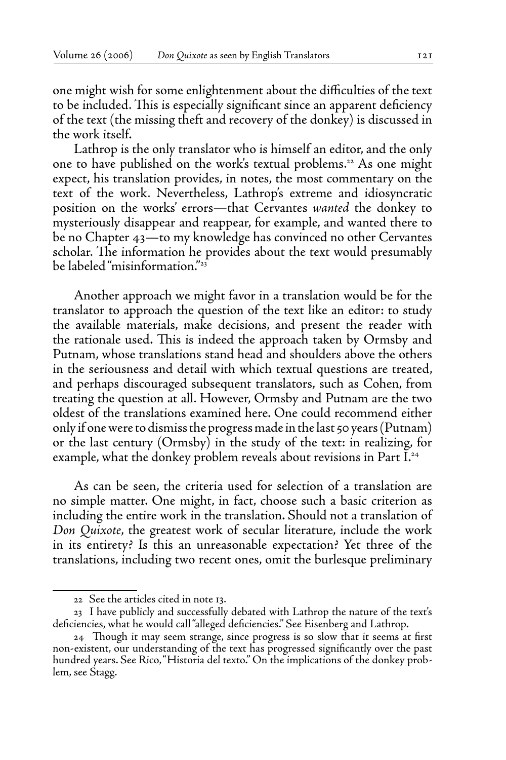one might wish for some enlightenment about the difficulties of the text to be included. This is especially significant since an apparent deficiency of the text (the missing theft and recovery of the donkey) is discussed in the work itself.

Lathrop is the only translator who is himself an editor, and the only one to have published on the work's textual problems.<sup>22</sup> As one might expect, his translation provides, in notes, the most commentary on the text of the work. Nevertheless, Lathrop's extreme and idiosyncratic position on the works' errors—that Cervantes *wanted* the donkey to mysteriously disappear and reappear, for example, and wanted there to be no Chapter 43—to my knowledge has convinced no other Cervantes scholar. The information he provides about the text would presumably be labeled "misinformation."23

Another approach we might favor in a translation would be for the translator to approach the question of the text like an editor: to study the available materials, make decisions, and present the reader with the rationale used. This is indeed the approach taken by Ormsby and Putnam, whose translations stand head and shoulders above the others in the seriousness and detail with which textual questions are treated, and perhaps discouraged subsequent translators, such as Cohen, from treating the question at all. However, Ormsby and Putnam are the two oldest of the translations examined here. One could recommend either only if one were to dismiss the progress made in the last 50 years (Putnam) or the last century (Ormsby) in the study of the text: in realizing, for example, what the donkey problem reveals about revisions in Part I.<sup>24</sup>

As can be seen, the criteria used for selection of a translation are no simple matter. One might, in fact, choose such a basic criterion as including the entire work in the translation. Should not a translation of *Don Quixote*, the greatest work of secular literature, include the work in its entirety? Is this an unreasonable expectation? Yet three of the translations, including two recent ones, omit the burlesque preliminary

<sup>22</sup> See the articles cited in note 13.

<sup>23</sup> I have publicly and successfully debated with Lathrop the nature of the text's deficiencies, what he would call "alleged deficiencies." See Eisenberg and Lathrop.

<sup>24</sup> Though it may seem strange, since progress is so slow that it seems at first non-existent, our understanding of the text has progressed significantly over the past hundred years. See Rico, "Historia del texto." On the implications of the donkey problem, see Stagg.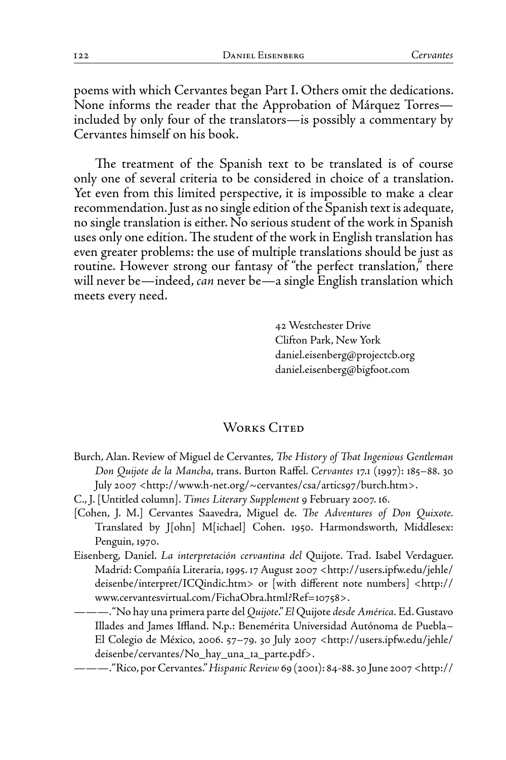poems with which Cervantes began Part I. Others omit the dedications. None informs the reader that the Approbation of Márquez Torres included by only four of the translators—is possibly a commentary by Cervantes himself on his book.

The treatment of the Spanish text to be translated is of course only one of several criteria to be considered in choice of a translation. Yet even from this limited perspective, it is impossible to make a clear recommendation. Just as no single edition of the Spanish text is adequate, no single translation is either. No serious student of the work in Spanish uses only one edition. The student of the work in English translation has even greater problems: the use of multiple translations should be just as routine. However strong our fantasy of "the perfect translation," there will never be—indeed, *can* never be—a single English translation which meets every need.

> 42 Westchester Drive Clifton Park, New York daniel.eisenberg@projectcb.org daniel.eisenberg@bigfoot.com

### WORKS CITED

- Burch, Alan. Review of Miguel de Cervantes, *The History of That Ingenious Gentleman Don Quijote de la Mancha*, trans. Burton Raffel. *Cervantes* 17.1 (1997): 185–88. 30 July 2007 <http://www.h-net.org/~cervantes/csa/artics97/burch.htm>.
- C., J. [Untitled column]. *Times Literary Supplement* 9 February 2007. 16.
- [Cohen, J. M.] Cervantes Saavedra, Miguel de. *The Adventures of Don Quixote.* Translated by J[ohn] M[ichael] Cohen. 1950. Harmondsworth, Middlesex: Penguin, 1970.
- Eisenberg, Daniel. *La interpretación cervantina del* Quijote. Trad. Isabel Verdaguer. Madrid: Compañía Literaria, 1995. 17 August 2007 <http://users.ipfw.edu/jehle/ deisenbe/interpret/ICQindic.htm> or [with different note numbers] <http:// www.cervantesvirtual.com/FichaObra.html?Ref=10758>.
	- ———. "No hay una primera parte del *Quijote*." *El* Quijote *desde América.* Ed. Gustavo Illades and James Iffland. N.p.: Benemérita Universidad Autónoma de Puebla– El Colegio de México, 2006. 57–79. 30 July 2007 <http://users.ipfw.edu/jehle/ deisenbe/cervantes/No\_hay\_una\_1a\_parte.pdf>.
- ———. "Rico, por Cervantes." *Hispanic Review* 69 (2001): 84-88. 30 June 2007 <http://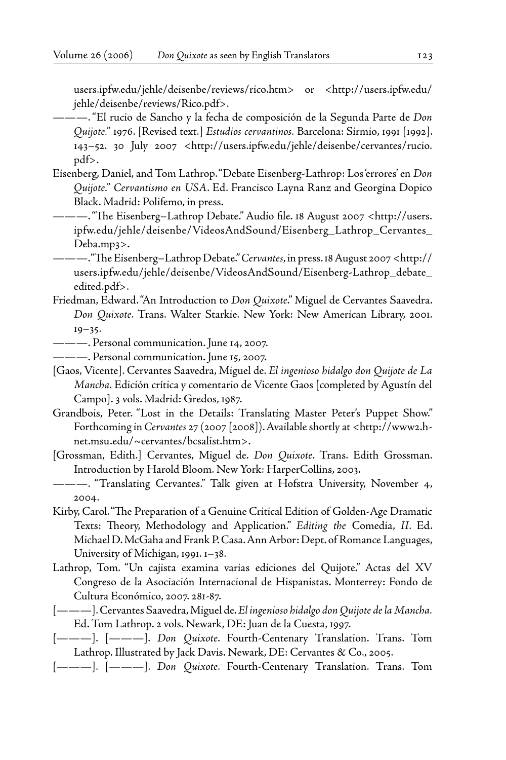users.ipfw.edu/jehle/deisenbe/reviews/rico.htm> or <http://users.ipfw.edu/ jehle/deisenbe/reviews/Rico.pdf>.

- ———. "El rucio de Sancho y la fecha de composición de la Segunda Parte de *Don Quijote."* 1976. [Revised text.] *Estudios cervantinos.* Barcelona: Sirmio, 1991 [1992]. 143–52. 30 July 2007 <http://users.ipfw.edu/jehle/deisenbe/cervantes/rucio. pdf>.
- Eisenberg, Daniel, and Tom Lathrop. "Debate Eisenberg-Lathrop: Los 'errores' en *Don Quijote." Cervantismo en USA*. Ed. Francisco Layna Ranz and Georgina Dopico Black. Madrid: Polifemo, in press.
- ———. "The Eisenberg–Lathrop Debate." Audio file. 18 August 2007 <http://users. ipfw.edu/jehle/deisenbe/VideosAndSound/Eisenberg\_Lathrop\_Cervantes\_ Deba.mp3>.
- ———. "The Eisenberg–Lathrop Debate." *Cervantes*, in press. 18 August 2007 <http:// users.ipfw.edu/jehle/deisenbe/VideosAndSound/Eisenberg-Lathrop\_debate\_ edited.pdf>.
- Friedman, Edward. "An Introduction to *Don Quixote*." Miguel de Cervantes Saavedra. *Don Quixote*. Trans. Walter Starkie. New York: New American Library, 2001. 19–35.
- ———. Personal communication. June 14, 2007.
- ———. Personal communication. June 15, 2007.
- [Gaos, Vicente]. Cervantes Saavedra, Miguel de. *El ingenioso hidalgo don Quijote de La Mancha.* Edición crítica y comentario de Vicente Gaos [completed by Agustín del Campo]. 3 vols. Madrid: Gredos, 1987.
- Grandbois, Peter. "Lost in the Details: Translating Master Peter's Puppet Show." Forthcoming in *Cervantes* 27 (2007 [2008]). Available shortly at <http://www2.hnet.msu.edu/~cervantes/bcsalist.htm>.
- [Grossman, Edith.] Cervantes, Miguel de. *Don Quixote*. Trans. Edith Grossman. Introduction by Harold Bloom. New York: HarperCollins, 2003.
- ———. "Translating Cervantes." Talk given at Hofstra University, November 4, 2004.
- Kirby, Carol. "The Preparation of a Genuine Critical Edition of Golden-Age Dramatic Texts: Theory, Methodology and Application." *Editing the* Comedia, *II*. Ed. Michael D. McGaha and Frank P. Casa. Ann Arbor: Dept. of Romance Languages, University of Michigan, 1991. 1–38.
- Lathrop, Tom. "Un cajista examina varias ediciones del Quijote." Actas del XV Congreso de la Asociación Internacional de Hispanistas. Monterrey: Fondo de Cultura Económico, 2007. 281-87.
- [———]. Cervantes Saavedra, Miguel de. *El ingenioso hidalgo don Quijote de la Mancha.* Ed. Tom Lathrop. 2 vols. Newark, DE: Juan de la Cuesta, 1997.
- [———]. [———]. *Don Quixote*. Fourth-Centenary Translation. Trans. Tom Lathrop. Illustrated by Jack Davis. Newark, DE: Cervantes & Co., 2005.
- [———]. [———]. *Don Quixote*. Fourth-Centenary Translation. Trans. Tom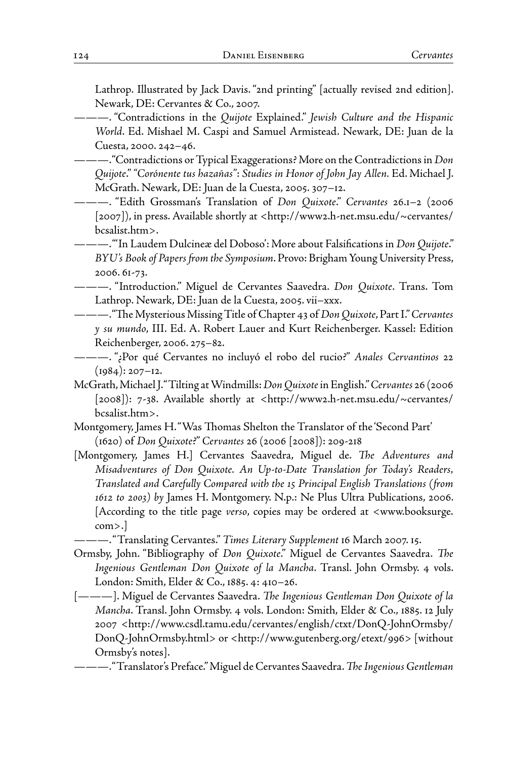Lathrop. Illustrated by Jack Davis. "2nd printing" [actually revised 2nd edition]. Newark, DE: Cervantes & Co., 2007.

- ———. "Contradictions in the *Quijote* Explained." *Jewish Culture and the Hispanic World*. Ed. Mishael M. Caspi and Samuel Armistead. Newark, DE: Juan de la Cuesta, 2000. 242–46.
- ———. "Contradictions or Typical Exaggerations? More on the Contradictions in *Don Quijote*." *"Corónente tus hazañas"*: *Studies in Honor of John Jay Allen.* Ed. Michael J. McGrath. Newark, DE: Juan de la Cuesta, 2005. 307–12.
- ———. "Edith Grossman's Translation of *Don Quixote*." *Cervantes* 26.1–2 (2006 [2007]), in press. Available shortly at <http://www2.h-net.msu.edu/~cervantes/ bcsalist.htm>.
- ———. "'In Laudem Dulcineæ del Doboso': More about Falsifications in *Don Quijote*." *BYU's Book of Papers from the Symposium*. Provo: Brigham Young University Press, 2006. 61-73.
- ———. "Introduction." Miguel de Cervantes Saavedra. *Don Quixote*. Trans. Tom Lathrop. Newark, DE: Juan de la Cuesta, 2005. vii–xxx.
- ———. "The Mysterious Missing Title of Chapter 43 of *Don Quixote*, Part I." *Cervantes y su mundo*, III. Ed. A. Robert Lauer and Kurt Reichenberger. Kassel: Edition Reichenberger, 2006. 275–82.
- ———. "¿Por qué Cervantes no incluyó el robo del rucio?" *Anales Cervantinos* 22  $(1984): 207 - 12.$
- McGrath, Michael J. "Tilting at Windmills: *Don Quixote* in English." *Cervantes* 26 (2006 [2008]): 7-38. Available shortly at <http://www2.h-net.msu.edu/~cervantes/ bcsalist.htm>.
- Montgomery, James H. "Was Thomas Shelton the Translator of the 'Second Part' (1620) of *Don Quixote*?" *Cervantes* 26 (2006 [2008]): 209-218
- [Montgomery, James H.] Cervantes Saavedra, Miguel de. *The Adventures and Misadventures of Don Quixote. An Up-to-Date Translation for Today's Readers, Translated and Carefully Compared with the 15 Principal English Translations (from 1612 to 2003) by* James H. Montgomery. N.p.: Ne Plus Ultra Publications, 2006. [According to the title page *verso*, copies may be ordered at <www.booksurge. com>.]
- ———. "Translating Cervantes." *Times Literary Supplement* 16 March 2007. 15.
- Ormsby, John. "Bibliography of *Don Quixote*." Miguel de Cervantes Saavedra. *The Ingenious Gentleman Don Quixote of la Mancha*. Transl. John Ormsby. 4 vols. London: Smith, Elder & Co., 1885. 4: 410–26.
- [———]. Miguel de Cervantes Saavedra. *The Ingenious Gentleman Don Quixote of la Mancha*. Transl. John Ormsby. 4 vols. London: Smith, Elder & Co., 1885. 12 July 2007 <http://www.csdl.tamu.edu/cervantes/english/ctxt/DonQ-JohnOrmsby/ DonQ-JohnOrmsby.html> or <http://www.gutenberg.org/etext/996> [without Ormsby's notes].
- ———. "Translator's Preface." Miguel de Cervantes Saavedra. *The Ingenious Gentleman*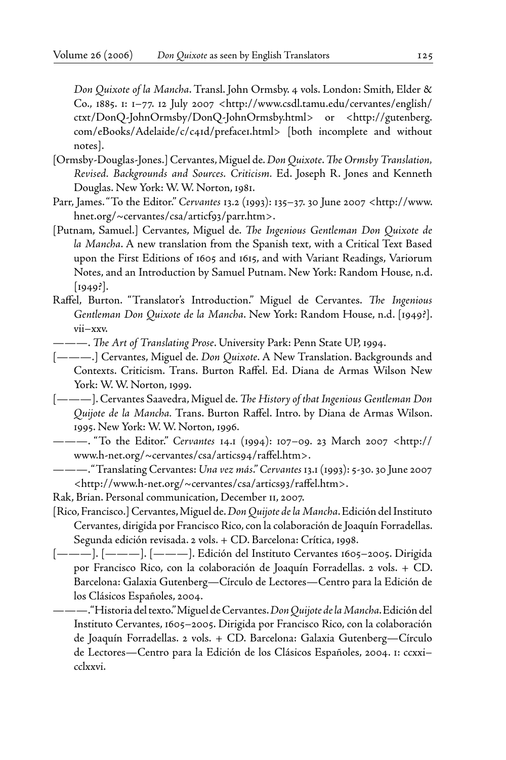*Don Quixote of la Mancha*. Transl. John Ormsby. 4 vols. London: Smith, Elder & Co., 1885. 1: 1–77. 12 July 2007 <http://www.csdl.tamu.edu/cervantes/english/ ctxt/DonQ-JohnOrmsby/DonQ-JohnOrmsby.html> or <http://gutenberg. com/eBooks/Adelaide/c/c41d/preface1.html> [both incomplete and without notes].

- [Ormsby-Douglas-Jones.] Cervantes, Miguel de. *Don Quixote*. *The Ormsby Translation, Revised. Backgrounds and Sources. Criticism.* Ed. Joseph R. Jones and Kenneth Douglas. New York: W. W. Norton, 1981.
- Parr, James. "To the Editor." *Cervantes* 13.2 (1993): 135–37. 30 June 2007 <http://www. hnet.org/~cervantes/csa/articf93/parr.htm>.
- [Putnam, Samuel.] Cervantes, Miguel de. *The Ingenious Gentleman Don Quixote de la Mancha*. A new translation from the Spanish text, with a Critical Text Based upon the First Editions of 1605 and 1615, and with Variant Readings, Variorum Notes, and an Introduction by Samuel Putnam. New York: Random House, n.d. [1949?].
- Raffel, Burton. "Translator's Introduction." Miguel de Cervantes. *The Ingenious Gentleman Don Quixote de la Mancha*. New York: Random House, n.d. [1949?]. vii–xxv.
- ———. *The Art of Translating Prose*. University Park: Penn State UP, 1994.
- [———.] Cervantes, Miguel de. *Don Quixote*. A New Translation. Backgrounds and Contexts. Criticism. Trans. Burton Raffel. Ed. Diana de Armas Wilson New York: W. W. Norton, 1999.
- [———]. Cervantes Saavedra, Miguel de. *The History of that Ingenious Gentleman Don Quijote de la Mancha.* Trans. Burton Raffel. Intro. by Diana de Armas Wilson. 1995. New York: W. W. Norton, 1996.
- ———. "To the Editor." *Cervantes* 14.1 (1994): 107–09. 23 March 2007 <http:// www.h-net.org/~cervantes/csa/artics94/raffel.htm>.
- ———. "Translating Cervantes: *Una vez más*." *Cervantes* 13.1 (1993): 5-30. 30 June 2007 <http://www.h-net.org/~cervantes/csa/artics93/raffel.htm>.
- Rak, Brian. Personal communication, December 11, 2007.
- [Rico, Francisco.] Cervantes, Miguel de. *Don Quijote de la Mancha*. Edición del Instituto Cervantes, dirigida por Francisco Rico, con la colaboración de Joaquín Forradellas. Segunda edición revisada. 2 vols. + CD. Barcelona: Crítica, 1998.
- [———]. [———]. [———]. Edición del Instituto Cervantes 1605–2005. Dirigida por Francisco Rico, con la colaboración de Joaquín Forradellas. 2 vols. + CD. Barcelona: Galaxia Gutenberg—Círculo de Lectores—Centro para la Edición de los Clásicos Españoles, 2004.
- ———. "Historia del texto." Miguel de Cervantes. *Don Quijote de la Mancha*. Edición del Instituto Cervantes, 1605–2005. Dirigida por Francisco Rico, con la colaboración de Joaquín Forradellas. 2 vols. + CD. Barcelona: Galaxia Gutenberg—Círculo de Lectores—Centro para la Edición de los Clásicos Españoles, 2004. 1: ccxxi– cclxxvi.